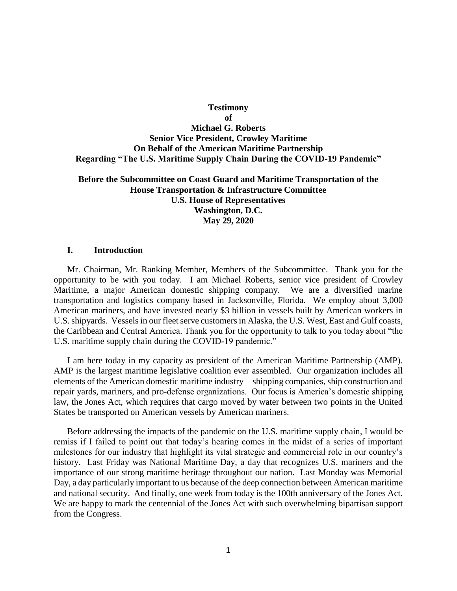# **Testimony of Michael G. Roberts Senior Vice President, Crowley Maritime On Behalf of the American Maritime Partnership Regarding "The U.S. Maritime Supply Chain During the COVID-19 Pandemic"**

## **Before the Subcommittee on Coast Guard and Maritime Transportation of the House Transportation & Infrastructure Committee U.S. House of Representatives Washington, D.C. May 29, 2020**

#### **I. Introduction**

Mr. Chairman, Mr. Ranking Member, Members of the Subcommittee. Thank you for the opportunity to be with you today. I am Michael Roberts, senior vice president of Crowley Maritime, a major American domestic shipping company. We are a diversified marine transportation and logistics company based in Jacksonville, Florida. We employ about 3,000 American mariners, and have invested nearly \$3 billion in vessels built by American workers in U.S. shipyards. Vessels in our fleet serve customers in Alaska, the U.S. West, East and Gulf coasts, the Caribbean and Central America. Thank you for the opportunity to talk to you today about "the U.S. maritime supply chain during the COVID-19 pandemic."

I am here today in my capacity as president of the American Maritime Partnership (AMP). AMP is the largest maritime legislative coalition ever assembled. Our organization includes all elements of the American domestic maritime industry—shipping companies, ship construction and repair yards, mariners, and pro-defense organizations. Our focus is America's domestic shipping law, the Jones Act, which requires that cargo moved by water between two points in the United States be transported on American vessels by American mariners.

Before addressing the impacts of the pandemic on the U.S. maritime supply chain, I would be remiss if I failed to point out that today's hearing comes in the midst of a series of important milestones for our industry that highlight its vital strategic and commercial role in our country's history. Last Friday was National Maritime Day, a day that recognizes U.S. mariners and the importance of our strong maritime heritage throughout our nation. Last Monday was Memorial Day, a day particularly important to us because of the deep connection between American maritime and national security. And finally, one week from today is the 100th anniversary of the Jones Act. We are happy to mark the centennial of the Jones Act with such overwhelming bipartisan support from the Congress.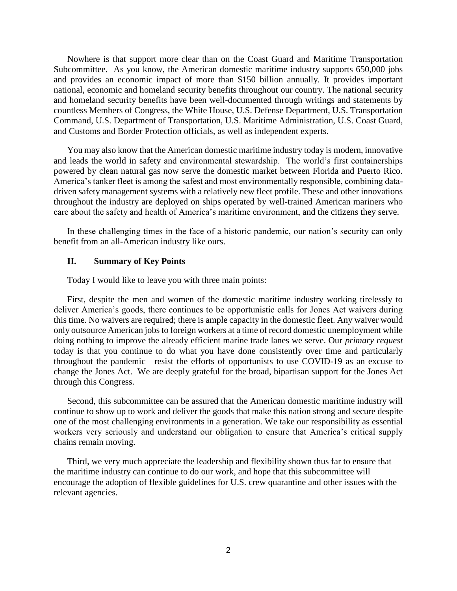Nowhere is that support more clear than on the Coast Guard and Maritime Transportation Subcommittee. As you know, the American domestic maritime industry supports 650,000 jobs and provides an economic impact of more than \$150 billion annually. It provides important national, economic and homeland security benefits throughout our country. The national security and homeland security benefits have been well-documented through writings and statements by countless Members of Congress, the White House, U.S. Defense Department, U.S. Transportation Command, U.S. Department of Transportation, U.S. Maritime Administration, U.S. Coast Guard, and Customs and Border Protection officials, as well as independent experts.

You may also know that the American domestic maritime industry today is modern, innovative and leads the world in safety and environmental stewardship. The world's first containerships powered by clean natural gas now serve the domestic market between Florida and Puerto Rico. America's tanker fleet is among the safest and most environmentally responsible, combining datadriven safety management systems with a relatively new fleet profile. These and other innovations throughout the industry are deployed on ships operated by well-trained American mariners who care about the safety and health of America's maritime environment, and the citizens they serve.

In these challenging times in the face of a historic pandemic, our nation's security can only benefit from an all-American industry like ours.

### **II. Summary of Key Points**

Today I would like to leave you with three main points:

First, despite the men and women of the domestic maritime industry working tirelessly to deliver America's goods, there continues to be opportunistic calls for Jones Act waivers during this time. No waivers are required; there is ample capacity in the domestic fleet. Any waiver would only outsource American jobs to foreign workers at a time of record domestic unemployment while doing nothing to improve the already efficient marine trade lanes we serve. Our *primary request* today is that you continue to do what you have done consistently over time and particularly throughout the pandemic—resist the efforts of opportunists to use COVID-19 as an excuse to change the Jones Act. We are deeply grateful for the broad, bipartisan support for the Jones Act through this Congress.

Second, this subcommittee can be assured that the American domestic maritime industry will continue to show up to work and deliver the goods that make this nation strong and secure despite one of the most challenging environments in a generation. We take our responsibility as essential workers very seriously and understand our obligation to ensure that America's critical supply chains remain moving.

Third, we very much appreciate the leadership and flexibility shown thus far to ensure that the maritime industry can continue to do our work, and hope that this subcommittee will encourage the adoption of flexible guidelines for U.S. crew quarantine and other issues with the relevant agencies.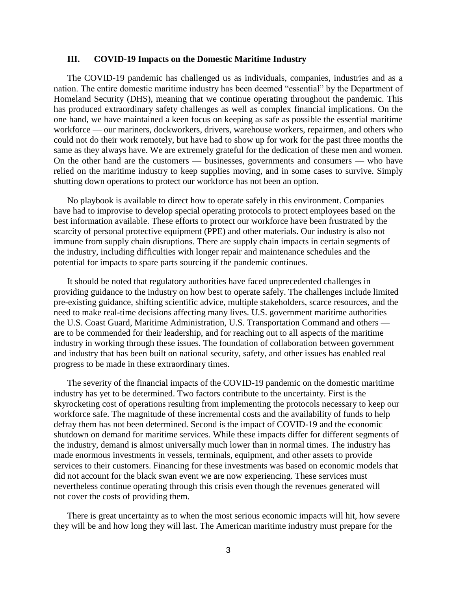## **III. COVID-19 Impacts on the Domestic Maritime Industry**

The COVID-19 pandemic has challenged us as individuals, companies, industries and as a nation. The entire domestic maritime industry has been deemed "essential" by the Department of Homeland Security (DHS), meaning that we continue operating throughout the pandemic. This has produced extraordinary safety challenges as well as complex financial implications. On the one hand, we have maintained a keen focus on keeping as safe as possible the essential maritime workforce — our mariners, dockworkers, drivers, warehouse workers, repairmen, and others who could not do their work remotely, but have had to show up for work for the past three months the same as they always have. We are extremely grateful for the dedication of these men and women. On the other hand are the customers — businesses, governments and consumers — who have relied on the maritime industry to keep supplies moving, and in some cases to survive. Simply shutting down operations to protect our workforce has not been an option.

No playbook is available to direct how to operate safely in this environment. Companies have had to improvise to develop special operating protocols to protect employees based on the best information available. These efforts to protect our workforce have been frustrated by the scarcity of personal protective equipment (PPE) and other materials. Our industry is also not immune from supply chain disruptions. There are supply chain impacts in certain segments of the industry, including difficulties with longer repair and maintenance schedules and the potential for impacts to spare parts sourcing if the pandemic continues.

It should be noted that regulatory authorities have faced unprecedented challenges in providing guidance to the industry on how best to operate safely. The challenges include limited pre-existing guidance, shifting scientific advice, multiple stakeholders, scarce resources, and the need to make real-time decisions affecting many lives. U.S. government maritime authorities the U.S. Coast Guard, Maritime Administration, U.S. Transportation Command and others are to be commended for their leadership, and for reaching out to all aspects of the maritime industry in working through these issues. The foundation of collaboration between government and industry that has been built on national security, safety, and other issues has enabled real progress to be made in these extraordinary times.

The severity of the financial impacts of the COVID-19 pandemic on the domestic maritime industry has yet to be determined. Two factors contribute to the uncertainty. First is the skyrocketing cost of operations resulting from implementing the protocols necessary to keep our workforce safe. The magnitude of these incremental costs and the availability of funds to help defray them has not been determined. Second is the impact of COVID-19 and the economic shutdown on demand for maritime services. While these impacts differ for different segments of the industry, demand is almost universally much lower than in normal times. The industry has made enormous investments in vessels, terminals, equipment, and other assets to provide services to their customers. Financing for these investments was based on economic models that did not account for the black swan event we are now experiencing. These services must nevertheless continue operating through this crisis even though the revenues generated will not cover the costs of providing them.

There is great uncertainty as to when the most serious economic impacts will hit, how severe they will be and how long they will last. The American maritime industry must prepare for the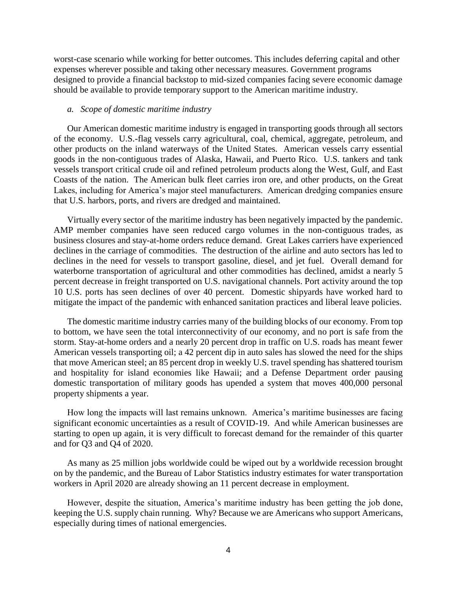worst-case scenario while working for better outcomes. This includes deferring capital and other expenses wherever possible and taking other necessary measures. Government programs designed to provide a financial backstop to mid-sized companies facing severe economic damage should be available to provide temporary support to the American maritime industry.

### *a. Scope of domestic maritime industry*

Our American domestic maritime industry is engaged in transporting goods through all sectors of the economy. U.S.-flag vessels carry agricultural, coal, chemical, aggregate, petroleum, and other products on the inland waterways of the United States. American vessels carry essential goods in the non-contiguous trades of Alaska, Hawaii, and Puerto Rico. U.S. tankers and tank vessels transport critical crude oil and refined petroleum products along the West, Gulf, and East Coasts of the nation. The American bulk fleet carries iron ore, and other products, on the Great Lakes, including for America's major steel manufacturers. American dredging companies ensure that U.S. harbors, ports, and rivers are dredged and maintained.

Virtually every sector of the maritime industry has been negatively impacted by the pandemic. AMP member companies have seen reduced cargo volumes in the non-contiguous trades, as business closures and stay-at-home orders reduce demand. Great Lakes carriers have experienced declines in the carriage of commodities. The destruction of the airline and auto sectors has led to declines in the need for vessels to transport gasoline, diesel, and jet fuel. Overall demand for waterborne transportation of agricultural and other commodities has declined, amidst a nearly 5 percent decrease in freight transported on U.S. navigational channels. Port activity around the top 10 U.S. ports has seen declines of over 40 percent. Domestic shipyards have worked hard to mitigate the impact of the pandemic with enhanced sanitation practices and liberal leave policies.

The domestic maritime industry carries many of the building blocks of our economy. From top to bottom, we have seen the total interconnectivity of our economy, and no port is safe from the storm. Stay-at-home orders and a nearly 20 percent drop in traffic on U.S. roads has meant fewer American vessels transporting oil; a 42 percent dip in auto sales has slowed the need for the ships that move American steel; an 85 percent drop in weekly U.S. travel spending has shattered tourism and hospitality for island economies like Hawaii; and a Defense Department order pausing domestic transportation of military goods has upended a system that moves 400,000 personal property shipments a year.

How long the impacts will last remains unknown. America's maritime businesses are facing significant economic uncertainties as a result of COVID-19. And while American businesses are starting to open up again, it is very difficult to forecast demand for the remainder of this quarter and for Q3 and Q4 of 2020.

As many as 25 million jobs worldwide could be wiped out by a worldwide recession brought on by the pandemic, and the Bureau of Labor Statistics industry estimates for water transportation workers in April 2020 are already showing an 11 percent decrease in employment.

However, despite the situation, America's maritime industry has been getting the job done, keeping the U.S. supply chain running. Why? Because we are Americans who support Americans, especially during times of national emergencies.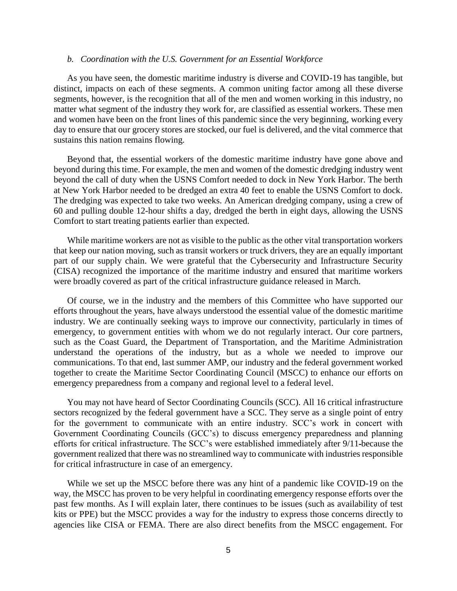#### *b. Coordination with the U.S. Government for an Essential Workforce*

As you have seen, the domestic maritime industry is diverse and COVID-19 has tangible, but distinct, impacts on each of these segments. A common uniting factor among all these diverse segments, however, is the recognition that all of the men and women working in this industry, no matter what segment of the industry they work for, are classified as essential workers. These men and women have been on the front lines of this pandemic since the very beginning, working every day to ensure that our grocery stores are stocked, our fuel is delivered, and the vital commerce that sustains this nation remains flowing.

Beyond that, the essential workers of the domestic maritime industry have gone above and beyond during this time. For example, the men and women of the domestic dredging industry went beyond the call of duty when the USNS Comfort needed to dock in New York Harbor. The berth at New York Harbor needed to be dredged an extra 40 feet to enable the USNS Comfort to dock. The dredging was expected to take two weeks. An American dredging company, using a crew of 60 and pulling double 12-hour shifts a day, dredged the berth in eight days, allowing the USNS Comfort to start treating patients earlier than expected.

While maritime workers are not as visible to the public as the other vital transportation workers that keep our nation moving, such as transit workers or truck drivers, they are an equally important part of our supply chain. We were grateful that the Cybersecurity and Infrastructure Security (CISA) recognized the importance of the maritime industry and ensured that maritime workers were broadly covered as part of the critical infrastructure guidance released in March.

Of course, we in the industry and the members of this Committee who have supported our efforts throughout the years, have always understood the essential value of the domestic maritime industry. We are continually seeking ways to improve our connectivity, particularly in times of emergency, to government entities with whom we do not regularly interact. Our core partners, such as the Coast Guard, the Department of Transportation, and the Maritime Administration understand the operations of the industry, but as a whole we needed to improve our communications. To that end, last summer AMP, our industry and the federal government worked together to create the Maritime Sector Coordinating Council (MSCC) to enhance our efforts on emergency preparedness from a company and regional level to a federal level.

You may not have heard of Sector Coordinating Councils (SCC). All 16 critical infrastructure sectors recognized by the federal government have a SCC. They serve as a single point of entry for the government to communicate with an entire industry. SCC's work in concert with Government Coordinating Councils (GCC's) to discuss emergency preparedness and planning efforts for critical infrastructure. The SCC's were established immediately after 9/11 because the government realized that there was no streamlined way to communicate with industries responsible for critical infrastructure in case of an emergency.

While we set up the MSCC before there was any hint of a pandemic like COVID-19 on the way, the MSCC has proven to be very helpful in coordinating emergency response efforts over the past few months. As I will explain later, there continues to be issues (such as availability of test kits or PPE) but the MSCC provides a way for the industry to express those concerns directly to agencies like CISA or FEMA. There are also direct benefits from the MSCC engagement. For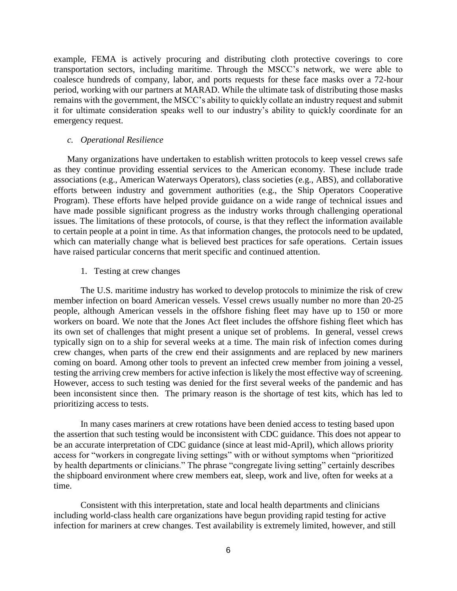example, FEMA is actively procuring and distributing cloth protective coverings to core transportation sectors, including maritime. Through the MSCC's network, we were able to coalesce hundreds of company, labor, and ports requests for these face masks over a 72-hour period, working with our partners at MARAD. While the ultimate task of distributing those masks remains with the government, the MSCC's ability to quickly collate an industry request and submit it for ultimate consideration speaks well to our industry's ability to quickly coordinate for an emergency request.

#### *c. Operational Resilience*

Many organizations have undertaken to establish written protocols to keep vessel crews safe as they continue providing essential services to the American economy. These include trade associations (e.g., American Waterways Operators), class societies (e.g., ABS), and collaborative efforts between industry and government authorities (e.g., the Ship Operators Cooperative Program). These efforts have helped provide guidance on a wide range of technical issues and have made possible significant progress as the industry works through challenging operational issues. The limitations of these protocols, of course, is that they reflect the information available to certain people at a point in time. As that information changes, the protocols need to be updated, which can materially change what is believed best practices for safe operations. Certain issues have raised particular concerns that merit specific and continued attention.

### 1. Testing at crew changes

The U.S. maritime industry has worked to develop protocols to minimize the risk of crew member infection on board American vessels. Vessel crews usually number no more than 20-25 people, although American vessels in the offshore fishing fleet may have up to 150 or more workers on board. We note that the Jones Act fleet includes the offshore fishing fleet which has its own set of challenges that might present a unique set of problems. In general, vessel crews typically sign on to a ship for several weeks at a time. The main risk of infection comes during crew changes, when parts of the crew end their assignments and are replaced by new mariners coming on board. Among other tools to prevent an infected crew member from joining a vessel, testing the arriving crew members for active infection is likely the most effective way of screening. However, access to such testing was denied for the first several weeks of the pandemic and has been inconsistent since then. The primary reason is the shortage of test kits, which has led to prioritizing access to tests.

In many cases mariners at crew rotations have been denied access to testing based upon the assertion that such testing would be inconsistent with CDC guidance. This does not appear to be an accurate interpretation of CDC guidance (since at least mid-April), which allows priority access for "workers in congregate living settings" with or without symptoms when "prioritized by health departments or clinicians." The phrase "congregate living setting" certainly describes the shipboard environment where crew members eat, sleep, work and live, often for weeks at a time.

Consistent with this interpretation, state and local health departments and clinicians including world-class health care organizations have begun providing rapid testing for active infection for mariners at crew changes. Test availability is extremely limited, however, and still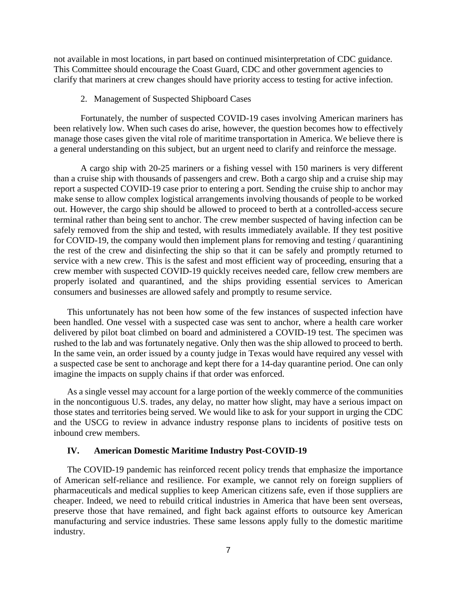not available in most locations, in part based on continued misinterpretation of CDC guidance. This Committee should encourage the Coast Guard, CDC and other government agencies to clarify that mariners at crew changes should have priority access to testing for active infection.

#### 2. Management of Suspected Shipboard Cases

Fortunately, the number of suspected COVID-19 cases involving American mariners has been relatively low. When such cases do arise, however, the question becomes how to effectively manage those cases given the vital role of maritime transportation in America. We believe there is a general understanding on this subject, but an urgent need to clarify and reinforce the message.

A cargo ship with 20-25 mariners or a fishing vessel with 150 mariners is very different than a cruise ship with thousands of passengers and crew. Both a cargo ship and a cruise ship may report a suspected COVID-19 case prior to entering a port. Sending the cruise ship to anchor may make sense to allow complex logistical arrangements involving thousands of people to be worked out. However, the cargo ship should be allowed to proceed to berth at a controlled-access secure terminal rather than being sent to anchor. The crew member suspected of having infection can be safely removed from the ship and tested, with results immediately available. If they test positive for COVID-19, the company would then implement plans for removing and testing / quarantining the rest of the crew and disinfecting the ship so that it can be safely and promptly returned to service with a new crew. This is the safest and most efficient way of proceeding, ensuring that a crew member with suspected COVID-19 quickly receives needed care, fellow crew members are properly isolated and quarantined, and the ships providing essential services to American consumers and businesses are allowed safely and promptly to resume service.

This unfortunately has not been how some of the few instances of suspected infection have been handled. One vessel with a suspected case was sent to anchor, where a health care worker delivered by pilot boat climbed on board and administered a COVID-19 test. The specimen was rushed to the lab and was fortunately negative. Only then was the ship allowed to proceed to berth. In the same vein, an order issued by a county judge in Texas would have required any vessel with a suspected case be sent to anchorage and kept there for a 14-day quarantine period. One can only imagine the impacts on supply chains if that order was enforced.

As a single vessel may account for a large portion of the weekly commerce of the communities in the noncontiguous U.S. trades, any delay, no matter how slight, may have a serious impact on those states and territories being served. We would like to ask for your support in urging the CDC and the USCG to review in advance industry response plans to incidents of positive tests on inbound crew members.

### **IV. American Domestic Maritime Industry Post-COVID-19**

The COVID-19 pandemic has reinforced recent policy trends that emphasize the importance of American self-reliance and resilience. For example, we cannot rely on foreign suppliers of pharmaceuticals and medical supplies to keep American citizens safe, even if those suppliers are cheaper. Indeed, we need to rebuild critical industries in America that have been sent overseas, preserve those that have remained, and fight back against efforts to outsource key American manufacturing and service industries. These same lessons apply fully to the domestic maritime industry.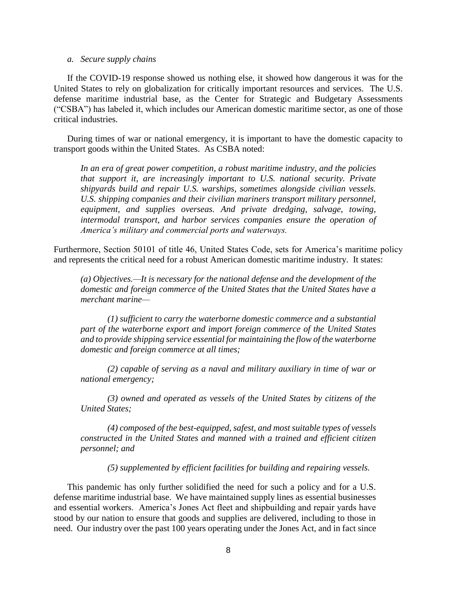#### *a. Secure supply chains*

If the COVID-19 response showed us nothing else, it showed how dangerous it was for the United States to rely on globalization for critically important resources and services. The U.S. defense maritime industrial base, as the Center for Strategic and Budgetary Assessments ("CSBA") has labeled it, which includes our American domestic maritime sector, as one of those critical industries.

During times of war or national emergency, it is important to have the domestic capacity to transport goods within the United States. As CSBA noted:

*In an era of great power competition, a robust maritime industry, and the policies that support it, are increasingly important to U.S. national security. Private shipyards build and repair U.S. warships, sometimes alongside civilian vessels. U.S. shipping companies and their civilian mariners transport military personnel, equipment, and supplies overseas. And private dredging, salvage, towing, intermodal transport, and harbor services companies ensure the operation of America's military and commercial ports and waterways.* 

Furthermore, Section 50101 of title 46, United States Code, sets for America's maritime policy and represents the critical need for a robust American domestic maritime industry. It states:

*(a) Objectives.—It is necessary for the national defense and the development of the domestic and foreign commerce of the United States that the United States have a merchant marine—*

*(1) sufficient to carry the waterborne domestic commerce and a substantial part of the waterborne export and import foreign commerce of the United States and to provide shipping service essential for maintaining the flow of the waterborne domestic and foreign commerce at all times;*

*(2) capable of serving as a naval and military auxiliary in time of war or national emergency;*

*(3) owned and operated as vessels of the United States by citizens of the United States;*

*(4) composed of the best-equipped, safest, and most suitable types of vessels constructed in the United States and manned with a trained and efficient citizen personnel; and*

*(5) supplemented by efficient facilities for building and repairing vessels.*

This pandemic has only further solidified the need for such a policy and for a U.S. defense maritime industrial base. We have maintained supply lines as essential businesses and essential workers. America's Jones Act fleet and shipbuilding and repair yards have stood by our nation to ensure that goods and supplies are delivered, including to those in need. Our industry over the past 100 years operating under the Jones Act, and in fact since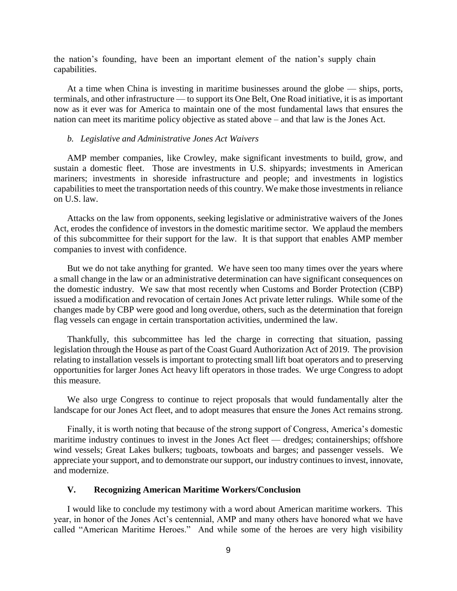the nation's founding, have been an important element of the nation's supply chain capabilities.

At a time when China is investing in maritime businesses around the globe — ships, ports, terminals, and other infrastructure — to support its One Belt, One Road initiative, it is as important now as it ever was for America to maintain one of the most fundamental laws that ensures the nation can meet its maritime policy objective as stated above – and that law is the Jones Act.

#### *b. Legislative and Administrative Jones Act Waivers*

AMP member companies, like Crowley, make significant investments to build, grow, and sustain a domestic fleet. Those are investments in U.S. shipyards; investments in American mariners; investments in shoreside infrastructure and people; and investments in logistics capabilities to meet the transportation needs of this country. We make those investments in reliance on U.S. law.

Attacks on the law from opponents, seeking legislative or administrative waivers of the Jones Act, erodes the confidence of investors in the domestic maritime sector. We applaud the members of this subcommittee for their support for the law. It is that support that enables AMP member companies to invest with confidence.

But we do not take anything for granted. We have seen too many times over the years where a small change in the law or an administrative determination can have significant consequences on the domestic industry. We saw that most recently when Customs and Border Protection (CBP) issued a modification and revocation of certain Jones Act private letter rulings. While some of the changes made by CBP were good and long overdue, others, such as the determination that foreign flag vessels can engage in certain transportation activities, undermined the law.

Thankfully, this subcommittee has led the charge in correcting that situation, passing legislation through the House as part of the Coast Guard Authorization Act of 2019. The provision relating to installation vessels is important to protecting small lift boat operators and to preserving opportunities for larger Jones Act heavy lift operators in those trades. We urge Congress to adopt this measure.

We also urge Congress to continue to reject proposals that would fundamentally alter the landscape for our Jones Act fleet, and to adopt measures that ensure the Jones Act remains strong.

Finally, it is worth noting that because of the strong support of Congress, America's domestic maritime industry continues to invest in the Jones Act fleet — dredges; containerships; offshore wind vessels; Great Lakes bulkers; tugboats, towboats and barges; and passenger vessels. We appreciate your support, and to demonstrate our support, our industry continues to invest, innovate, and modernize.

## **V. Recognizing American Maritime Workers/Conclusion**

I would like to conclude my testimony with a word about American maritime workers. This year, in honor of the Jones Act's centennial, AMP and many others have honored what we have called "American Maritime Heroes." And while some of the heroes are very high visibility